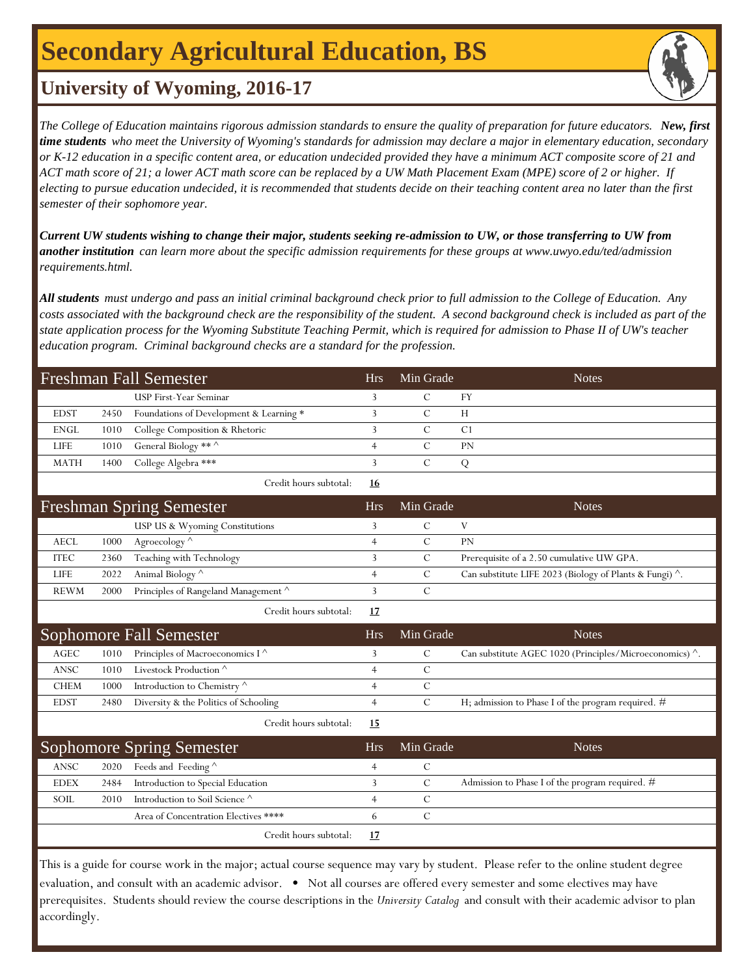# **Secondary Agricultural Education, BS**

## **University of Wyoming, 2016-17**

*The College of Education maintains rigorous admission standards to ensure the quality of preparation for future educators. New, first time students who meet the University of Wyoming's standards for admission may declare a major in elementary education, secondary or K-12 education in a specific content area, or education undecided provided they have a minimum ACT composite score of 21 and ACT math score of 21; a lower ACT math score can be replaced by a UW Math Placement Exam (MPE) score of 2 or higher. If electing to pursue education undecided, it is recommended that students decide on their teaching content area no later than the first semester of their sophomore year.*

*Current UW students wishing to change their major, students seeking re-admission to UW, or those transferring to UW from another institution can learn more about the specific admission requirements for these groups at www.uwyo.edu/ted/admission requirements.html.* 

*All students must undergo and pass an initial criminal background check prior to full admission to the College of Education. Any costs associated with the background check are the responsibility of the student. A second background check is included as part of the state application process for the Wyoming Substitute Teaching Permit, which is required for admission to Phase II of UW's teacher education program. Criminal background checks are a standard for the profession.*

| Freshman Fall Semester |      |                                         |           | Min Grade |                | <b>Notes</b> |
|------------------------|------|-----------------------------------------|-----------|-----------|----------------|--------------|
|                        |      | USP First-Year Seminar                  |           |           | FY             |              |
| <b>EDST</b>            | 2450 | Foundations of Development & Learning * |           |           | H              |              |
| ENGL                   |      | 1010 College Composition & Rhetoric     |           |           | C <sub>1</sub> |              |
| <b>LIFE</b>            |      | 1010 General Biology ** ^               |           |           | <b>PN</b>      |              |
| <b>MATH</b>            |      | 1400 College Algebra ***                |           |           |                |              |
|                        |      | Credit hours subtotal:                  | <u>16</u> |           |                |              |

| <b>Freshman Spring Semester</b> |      |                                      | Hrs. | Min Grade | <b>Notes</b>                                                    |
|---------------------------------|------|--------------------------------------|------|-----------|-----------------------------------------------------------------|
|                                 |      | USP US & Wyoming Constitutions       |      |           |                                                                 |
| <b>AECL</b>                     | 1000 | Agroecology $\wedge$                 |      |           | <b>PN</b>                                                       |
| <b>ITEC</b>                     | 2360 | Teaching with Technology             |      |           | Prerequisite of a 2.50 cumulative UW GPA.                       |
| <b>LIFE</b>                     | 2022 | Animal Biology ^                     |      |           | Can substitute LIFE 2023 (Biology of Plants & Fungi) $\wedge$ . |
| <b>REWM</b>                     | 2000 | Principles of Rangeland Management ^ |      |           |                                                                 |
|                                 |      |                                      |      |           |                                                                 |

Credit hours subtotal: **17**

| Sophomore Fall Semester |      |                                                     | Hrs | Min Grade | <b>Notes</b>                                                    |
|-------------------------|------|-----------------------------------------------------|-----|-----------|-----------------------------------------------------------------|
| AGEC                    | 1010 | Principles of Macroeconomics $I^{\wedge}$           |     |           | Can substitute AGEC 1020 (Principles/Microeconomics) $\wedge$ . |
| ANSC                    | 1010 | Livestock Production <sup><math>\wedge</math></sup> |     |           |                                                                 |
| CHEM                    | 1000 | Introduction to Chemistry $\wedge$                  |     |           |                                                                 |
| <b>EDST</b>             | 2480 | Diversity & the Politics of Schooling               |     |           | H; admission to Phase I of the program required. $#$            |

Credit hours subtotal: **15**

| Sophomore Spring Semester |      |                                      | Hrs | Min Grade | <b>Notes</b>                                    |
|---------------------------|------|--------------------------------------|-----|-----------|-------------------------------------------------|
| ANSC                      |      | 2020 Feeds and Feeding $\wedge$      |     |           |                                                 |
| <b>EDEX</b>               | 2484 | Introduction to Special Education    |     |           | Admission to Phase I of the program required. # |
| SOIL                      | 2010 | Introduction to Soil Science ^       |     |           |                                                 |
|                           |      | Area of Concentration Electives **** |     |           |                                                 |
|                           |      | Credit hours subtotal:               |     |           |                                                 |

This is a guide for course work in the major; actual course sequence may vary by student. Please refer to the online student degree evaluation, and consult with an academic advisor. • Not all courses are offered every semester and some electives may have prerequisites. Students should review the course descriptions in the *University Catalog* and consult with their academic advisor to plan accordingly.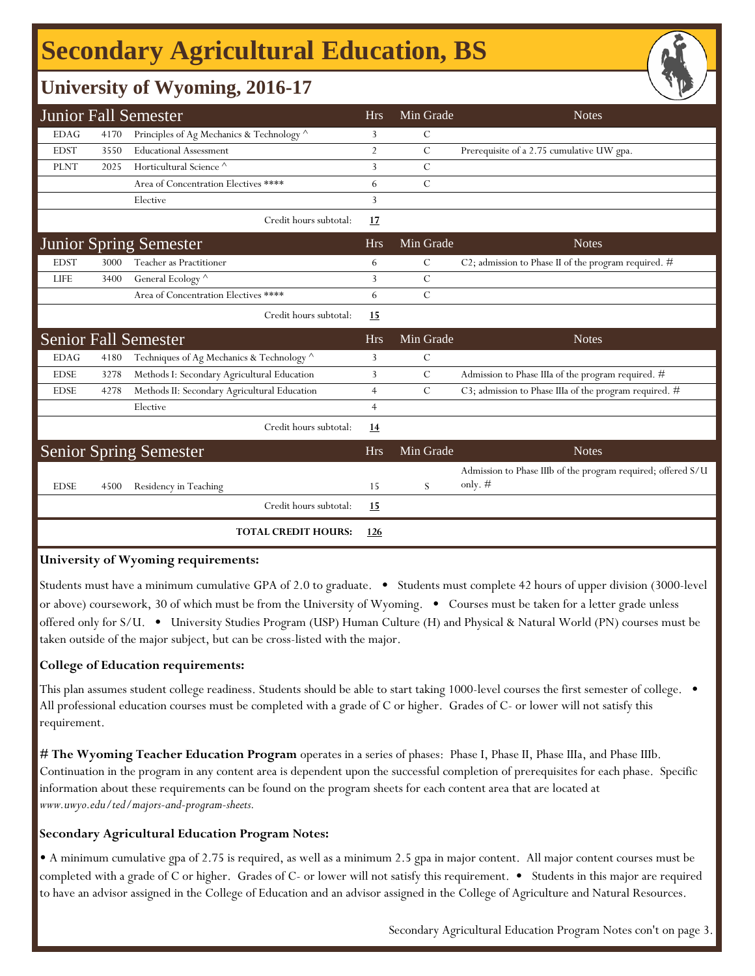# **Secondary Agricultural Education, BS**

### **University of Wyoming, 2016-17**

|             |      | <b>Junior Fall Semester</b>                  | <b>Hrs</b>     | Min Grade     | <b>Notes</b>                                                              |
|-------------|------|----------------------------------------------|----------------|---------------|---------------------------------------------------------------------------|
| <b>EDAG</b> | 4170 | Principles of Ag Mechanics & Technology ^    | 3              | C             |                                                                           |
| <b>EDST</b> | 3550 | <b>Educational Assessment</b>                | $\overline{2}$ | $\mathcal{C}$ | Prerequisite of a 2.75 cumulative UW gpa.                                 |
| <b>PLNT</b> | 2025 | Horticultural Science <sup>^</sup>           | 3              | $\mathcal{C}$ |                                                                           |
|             |      | Area of Concentration Electives ****         | 6              | $\mathcal{C}$ |                                                                           |
|             |      | Elective                                     | 3              |               |                                                                           |
|             |      | Credit hours subtotal:                       | 17             |               |                                                                           |
|             |      | <b>Junior Spring Semester</b>                | <b>Hrs</b>     | Min Grade     | <b>Notes</b>                                                              |
| <b>EDST</b> | 3000 | Teacher as Practitioner                      | 6              | C             | C2; admission to Phase II of the program required. $#$                    |
| <b>LIFE</b> | 3400 | General Ecology ^                            | 3              | $\mathcal{C}$ |                                                                           |
|             |      | Area of Concentration Electives ****         | 6              | $\mathcal{C}$ |                                                                           |
|             |      | Credit hours subtotal:                       | 15             |               |                                                                           |
|             |      | <b>Senior Fall Semester</b>                  | <b>Hrs</b>     | Min Grade     | <b>Notes</b>                                                              |
| <b>EDAG</b> | 4180 | Techniques of Ag Mechanics & Technology ^    | 3              | $\mathcal{C}$ |                                                                           |
| <b>EDSE</b> | 3278 | Methods I: Secondary Agricultural Education  | 3              | $\mathcal{C}$ | Admission to Phase IIIa of the program required. #                        |
| <b>EDSE</b> | 4278 | Methods II: Secondary Agricultural Education | 4              | $\mathcal{C}$ | C3; admission to Phase IIIa of the program required. #                    |
|             |      | Elective                                     | $\overline{4}$ |               |                                                                           |
|             |      | Credit hours subtotal:                       | 14             |               |                                                                           |
|             |      | <b>Senior Spring Semester</b>                | <b>Hrs</b>     | Min Grade     | <b>Notes</b>                                                              |
| <b>EDSE</b> | 4500 | Residency in Teaching                        | 15             | S             | Admission to Phase IIIb of the program required; offered S/U<br>only. $#$ |
|             |      | Credit hours subtotal:                       | 15             |               |                                                                           |
|             |      | <b>TOTAL CREDIT HOURS:</b>                   | 126            |               |                                                                           |

#### **University of Wyoming requirements:**

Students must have a minimum cumulative GPA of 2.0 to graduate. • Students must complete 42 hours of upper division (3000-level or above) coursework, 30 of which must be from the University of Wyoming. • Courses must be taken for a letter grade unless offered only for S/U. • University Studies Program (USP) Human Culture (H) and Physical & Natural World (PN) courses must be taken outside of the major subject, but can be cross-listed with the major.

#### **College of Education requirements:**

This plan assumes student college readiness. Students should be able to start taking 1000-level courses the first semester of college. • All professional education courses must be completed with a grade of C or higher. Grades of C- or lower will not satisfy this requirement.

**[# The Wyoming Teacher Education Program](http://www.uwyo.edu/ted/majors-and-program-sheets)** operates in a series of phases: Phase I, Phase II, Phase IIIa, and Phase IIIb. [Co](http://www.uwyo.edu/ted/majors-and-program-sheets)ntinuation in the program in any content area is dependent upon the successful completion of prerequisites for each phase. Specific [inf](http://www.uwyo.edu/ted/majors-and-program-sheets)ormation about these requirements can be found on the program sheets for each content area that are located at *[ww](http://www.uwyo.edu/ted/majors-and-program-sheets)w.uwyo.edu/ted/majors-and-program-sheets.*

#### **Secondary Agricultural Education Program Notes:**

• A minimum cumulative gpa of 2.75 is required, as well as a minimum 2.5 gpa in major content. All major content courses must be completed with a grade of C or higher. Grades of C- or lower will not satisfy this requirement. • Students in this major are required to have an advisor assigned in the College of Education and an advisor assigned in the College of Agriculture and Natural Resources.